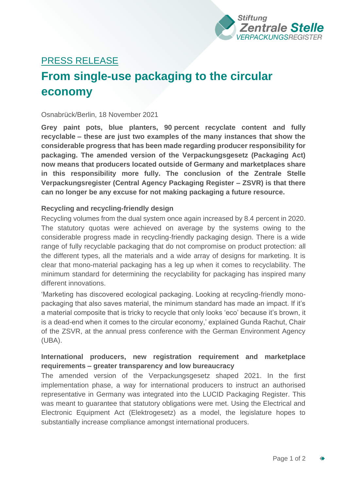

# PRESS RELEASE

# **From single-use packaging to the circular economy**

#### Osnabrück/Berlin, 18 November 2021

**Grey paint pots, blue planters, 90 percent recyclate content and fully recyclable – these are just two examples of the many instances that show the considerable progress that has been made regarding producer responsibility for packaging. The amended version of the Verpackungsgesetz (Packaging Act) now means that producers located outside of Germany and marketplaces share in this responsibility more fully. The conclusion of the Zentrale Stelle Verpackungsregister (Central Agency Packaging Register – ZSVR) is that there can no longer be any excuse for not making packaging a future resource.** 

# **Recycling and recycling-friendly design**

Recycling volumes from the dual system once again increased by 8.4 percent in 2020. The statutory quotas were achieved on average by the systems owing to the considerable progress made in recycling-friendly packaging design. There is a wide range of fully recyclable packaging that do not compromise on product protection: all the different types, all the materials and a wide array of designs for marketing. It is clear that mono-material packaging has a leg up when it comes to recyclability. The minimum standard for determining the recyclability for packaging has inspired many different innovations.

'Marketing has discovered ecological packaging. Looking at recycling-friendly monopackaging that also saves material, the minimum standard has made an impact. If it's a material composite that is tricky to recycle that only looks 'eco' because it's brown, it is a dead-end when it comes to the circular economy,' explained Gunda Rachut, Chair of the ZSVR, at the annual press conference with the German Environment Agency (UBA).

# **International producers, new registration requirement and marketplace requirements – greater transparency and low bureaucracy**

The amended version of the Verpackungsgesetz shaped 2021. In the first implementation phase, a way for international producers to instruct an authorised representative in Germany was integrated into the LUCID Packaging Register. This was meant to guarantee that statutory obligations were met. Using the Electrical and Electronic Equipment Act (Elektrogesetz) as a model, the legislature hopes to substantially increase compliance amongst international producers.